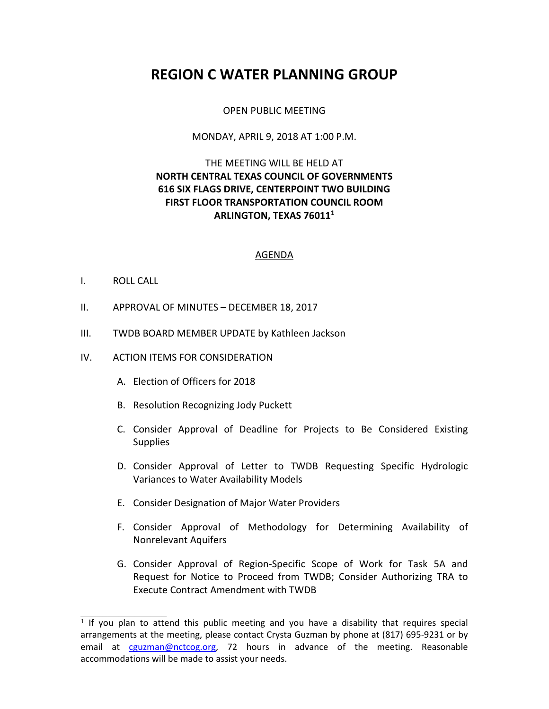# **REGION C WATER PLANNING GROUP**

#### OPEN PUBLIC MEETING

#### MONDAY, APRIL 9, 2018 AT 1:00 P.M.

## THE MEETING WILL BE HELD AT **NORTH CENTRAL TEXAS COUNCIL OF GOVERNMENTS 616 SIX FLAGS DRIVE, CENTERPOINT TWO BUILDING FIRST FLOOR TRANSPORTATION COUNCIL ROOM ARLINGTON, TEXAS 76011<sup>1</sup>**

#### AGENDA

#### I. ROLL CALL

 $\overline{\phantom{a}}$  , where  $\overline{\phantom{a}}$ 

- II. APPROVAL OF MINUTES DECEMBER 18, 2017
- III. TWDB BOARD MEMBER UPDATE by Kathleen Jackson
- IV. ACTION ITEMS FOR CONSIDERATION
	- A. Election of Officers for 2018
	- B. Resolution Recognizing Jody Puckett
	- C. Consider Approval of Deadline for Projects to Be Considered Existing **Supplies**
	- D. Consider Approval of Letter to TWDB Requesting Specific Hydrologic Variances to Water Availability Models
	- E. Consider Designation of Major Water Providers
	- F. Consider Approval of Methodology for Determining Availability of Nonrelevant Aquifers
	- G. Consider Approval of Region-Specific Scope of Work for Task 5A and Request for Notice to Proceed from TWDB; Consider Authorizing TRA to Execute Contract Amendment with TWDB

<sup>&</sup>lt;sup>1</sup> If you plan to attend this public meeting and you have a disability that requires special arrangements at the meeting, please contact Crysta Guzman by phone at (817) 695-9231 or by email at cguzman@nctcog.org, 72 hours in advance of the meeting. Reasonable accommodations will be made to assist your needs.